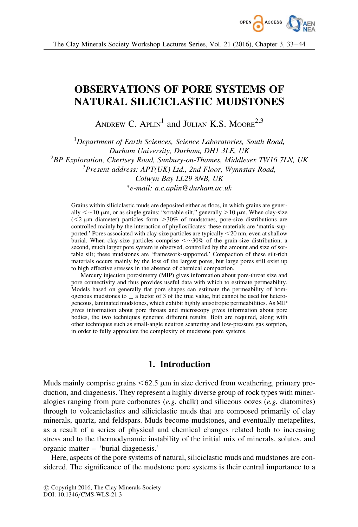

# OBSERVATIONS OF PORE SYSTEMS OF NATURAL SILICICLASTIC MUDSTONES

ANDREW C.  $APLIN<sup>1</sup>$  and JULIAN K.S. MOORE<sup>2,3</sup>

<sup>1</sup>Department of Earth Sciences, Science Laboratories, South Road, Durham University, Durham, DH1 3LE, UK  $^{2}$ BP Exploration, Chertsey Road, Sunbury-on-Thames, Middlesex TW16 7LN, UK <sup>3</sup>Present address: APT(UK) Ltd., 2nd Floor, Wynnstay Road, Colwyn Bay LL29 8NB, UK -e-mail: a.c.aplin@durham.ac.uk

Grains within siliciclastic muds are deposited either as flocs, in which grains are generally  $\ll \sim 10 \mu$ m, or as single grains: "sortable silt," generally  $> 10 \mu$ m. When clay-size  $(< 2 \mu m$  diameter) particles form  $> 30\%$  of mudstones, pore-size distributions are controlled mainly by the interaction of phyllosilicates; these materials are 'matrix-supported.' Pores associated with clay-size particles are typically  $\leq$ 20 nm, even at shallow burial. When clay-size particles comprise  $\langle \sim 30\%$  of the grain-size distribution, a second, much larger pore system is observed, controlled by the amount and size of sortable silt; these mudstones are 'framework-supported.' Compaction of these silt-rich materials occurs mainly by the loss of the largest pores, but large pores still exist up to high effective stresses in the absence of chemical compaction.

Mercury injection porosimetry (MIP) gives information about pore-throat size and pore connectivity and thus provides useful data with which to estimate permeability. Models based on generally flat pore shapes can estimate the permeability of homogenous mudstones to  $\pm$  a factor of 3 of the true value, but cannot be used for heterogeneous, laminated mudstones, which exhibit highly anisotropic permeabilities. As MIP gives information about pore throats and microscopy gives information about pore bodies, the two techniques generate different results. Both are required, along with other techniques such as small-angle neutron scattering and low-pressure gas sorption, in order to fully appreciate the complexity of mudstone pore systems.

# 1. Introduction

Muds mainly comprise grains  $\leq 62.5$   $\mu$ m in size derived from weathering, primary production, and diagenesis. They represent a highly diverse group of rock types with mineralogies ranging from pure carbonates  $(e.g.$  chalk) and siliceous oozes  $(e.g.$  diatomites) through to volcaniclastics and siliciclastic muds that are composed primarily of clay minerals, quartz, and feldspars. Muds become mudstones, and eventually metapelites, as a result of a series of physical and chemical changes related both to increasing stress and to the thermodynamic instability of the initial mix of minerals, solutes, and organic matter – 'burial diagenesis.'

Here, aspects of the pore systems of natural, siliciclastic muds and mudstones are considered. The significance of the mudstone pore systems is their central importance to a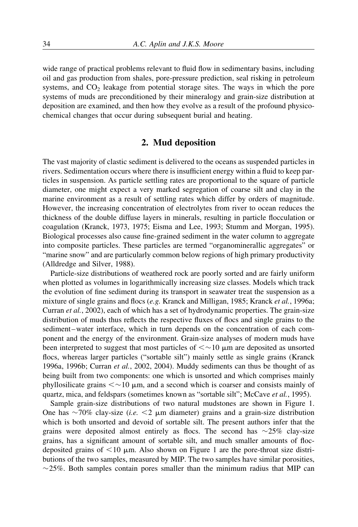wide range of practical problems relevant to fluid flow in sedimentary basins, including oil and gas production from shales, pore-pressure prediction, seal risking in petroleum systems, and  $CO<sub>2</sub>$  leakage from potential storage sites. The ways in which the pore systems of muds are preconditioned by their mineralogy and grain-size distribution at deposition are examined, and then how they evolve as a result of the profound physicochemical changes that occur during subsequent burial and heating.

## 2. Mud deposition

The vast majority of clastic sediment is delivered to the oceans as suspended particles in rivers. Sedimentation occurs where there is insufficient energy within a fluid to keep particles in suspension. As particle settling rates are proportional to the square of particle diameter, one might expect a very marked segregation of coarse silt and clay in the marine environment as a result of settling rates which differ by orders of magnitude. However, the increasing concentration of electrolytes from river to ocean reduces the thickness of the double diffuse layers in minerals, resulting in particle flocculation or coagulation (Kranck, 1973, 1975; Eisma and Lee, 1993; Stumm and Morgan, 1995). Biological processes also cause fine-grained sediment in the water column to aggregate into composite particles. These particles are termed "organominerallic aggregates" or "marine snow" and are particularly common below regions of high primary productivity (Alldredge and Silver, 1988).

Particle-size distributions of weathered rock are poorly sorted and are fairly uniform when plotted as volumes in logarithmically increasing size classes. Models which track the evolution of fine sediment during its transport in seawater treat the suspension as a mixture of single grains and flocs (e.g. Kranck and Milligan, 1985; Kranck et al., 1996a; Curran et al., 2002), each of which has a set of hydrodynamic properties. The grain-size distribution of muds thus reflects the respective fluxes of flocs and single grains to the sediment –water interface, which in turn depends on the concentration of each component and the energy of the environment. Grain-size analyses of modern muds have been interpreted to suggest that most particles of  $\langle \sim 10 \mu \text{m}$  are deposited as unsorted flocs, whereas larger particles ("sortable silt") mainly settle as single grains (Kranck 1996a, 1996b; Curran et al., 2002, 2004). Muddy sediments can thus be thought of as being built from two components: one which is unsorted and which comprises mainly phyllosilicate grains  $\lt \sim 10$  µm, and a second which is coarser and consists mainly of quartz, mica, and feldspars (sometimes known as "sortable silt"; McCave et al., 1995).

Sample grain-size distributions of two natural mudstones are shown in Figure 1. One has  $\sim$  70% clay-size (*i.e.* <2  $\mu$ m diameter) grains and a grain-size distribution which is both unsorted and devoid of sortable silt. The present authors infer that the grains were deposited almost entirely as flocs. The second has  $\sim$ 25% clay-size grains, has a significant amount of sortable silt, and much smaller amounts of flocdeposited grains of  $\leq 10$  µm. Also shown on Figure 1 are the pore-throat size distributions of the two samples, measured by MIP. The two samples have similar porosities,  $\sim$ 25%. Both samples contain pores smaller than the minimum radius that MIP can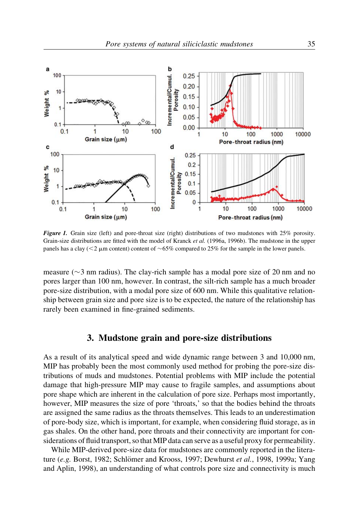

Figure 1. Grain size (left) and pore-throat size (right) distributions of two mudstones with 25% porosity. Grain-size distributions are fitted with the model of Kranck et al. (1996a, 1996b). The mudstone in the upper panels has a clay ( $<$ 2 µm content) content of  $\sim$ 65% compared to 25% for the sample in the lower panels.

measure ( $\sim$ 3 nm radius). The clay-rich sample has a modal pore size of 20 nm and no pores larger than 100 nm, however. In contrast, the silt-rich sample has a much broader pore-size distribution, with a modal pore size of 600 nm. While this qualitative relationship between grain size and pore size is to be expected, the nature of the relationship has rarely been examined in fine-grained sediments.

## 3. Mudstone grain and pore-size distributions

As a result of its analytical speed and wide dynamic range between 3 and 10,000 nm, MIP has probably been the most commonly used method for probing the pore-size distributions of muds and mudstones. Potential problems with MIP include the potential damage that high-pressure MIP may cause to fragile samples, and assumptions about pore shape which are inherent in the calculation of pore size. Perhaps most importantly, however, MIP measures the size of pore 'throats,' so that the bodies behind the throats are assigned the same radius as the throats themselves. This leads to an underestimation of pore-body size, which is important, for example, when considering fluid storage, as in gas shales. On the other hand, pore throats and their connectivity are important for considerations of fluid transport, so that MIP data can serve as a useful proxy for permeability.

While MIP-derived pore-size data for mudstones are commonly reported in the literature (e.g. Borst, 1982; Schlömer and Krooss, 1997; Dewhurst et al., 1998, 1999a; Yang and Aplin, 1998), an understanding of what controls pore size and connectivity is much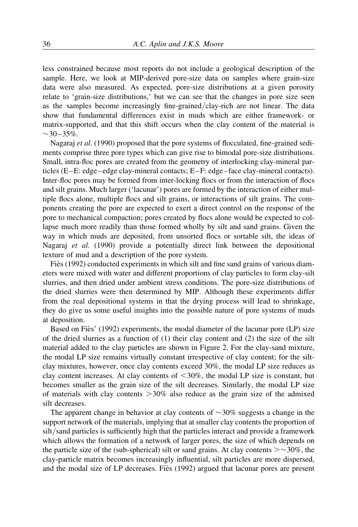less constrained because most reports do not include a geological description of the sample. Here, we look at MIP-derived pore-size data on samples where grain-size data were also measured. As expected, pore-size distributions at a given porosity relate to 'grain-size distributions,' but we can see that the changes in pore size seen as the samples become increasingly fine-grained/clay-rich are not linear. The data show that fundamental differences exist in muds which are either framework- or matrix-supported, and that this shift occurs when the clay content of the material is  $\sim$ 30–35%.

Nagaraj *et al.* (1990) proposed that the pore systems of flocculated, fine-grained sediments comprise three pore types which can give rise to bimodal pore-size distributions. Small, intra-floc pores are created from the geometry of interlocking clay-mineral particles (E –E: edge –edge clay-mineral contacts; E –F: edge – face clay-mineral contacts). Inter-floc pores may be formed from inter-locking flocs or from the interaction of flocs and silt grains. Much larger ('lacunar') pores are formed by the interaction of either multiple flocs alone, multiple flocs and silt grains, or interactions of silt grains. The components creating the pore are expected to exert a direct control on the response of the pore to mechanical compaction; pores created by flocs alone would be expected to collapse much more readily than those formed wholly by silt and sand grains. Given the way in which muds are deposited, from unsorted flocs or sortable silt, the ideas of Nagaraj et al. (1990) provide a potentially direct link between the depositional texture of mud and a description of the pore system.

Fies (1992) conducted experiments in which silt and fine sand grains of various diameters were mixed with water and different proportions of clay particles to form clay-silt slurries, and then dried under ambient stress conditions. The pore-size distributions of the dried slurries were then determined by MIP. Although these experiments differ from the real depositional systems in that the drying process will lead to shrinkage, they do give us some useful insights into the possible nature of pore systems of muds at deposition.

Based on Fies' (1992) experiments, the modal diameter of the lacunar pore (LP) size of the dried slurries as a function of  $(1)$  their clay content and  $(2)$  the size of the silt material added to the clay particles are shown in Figure 2. For the clay-sand mixture, the modal LP size remains virtually constant irrespective of clay content; for the siltclay mixtures, however, once clay contents exceed 30%, the modal LP size reduces as clay content increases. At clay contents of  $<30\%$ , the modal LP size is constant, but becomes smaller as the grain size of the silt decreases. Similarly, the modal LP size of materials with clay contents  $>30\%$  also reduce as the grain size of the admixed silt decreases.

The apparent change in behavior at clay contents of  $\sim$ 30% suggests a change in the support network of the materials, implying that at smaller clay contents the proportion of silt/sand particles is sufficiently high that the particles interact and provide a framework which allows the formation of a network of larger pores, the size of which depends on the particle size of the (sub-spherical) silt or sand grains. At clay contents  $\geq$  -30%, the clay-particle matrix becomes increasingly influential, silt particles are more dispersed, and the modal size of LP decreases. Fies (1992) argued that lacunar pores are present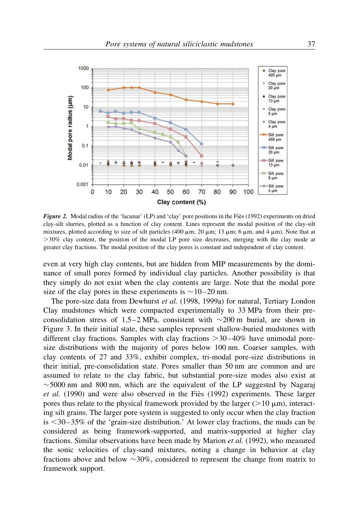

**Figure 2.** Modal radius of the 'lacunar' (LP) and 'clay' pore positions in the Fies (1992) experiments on dried clay-silt slurries, plotted as a function of clay content. Lines represent the modal position of the clay-silt mixtures, plotted according to size of silt particles (400  $\mu$ m; 20  $\mu$ m; 13  $\mu$ m; 6  $\mu$ m, and 4  $\mu$ m). Note that at .30% clay content, the position of the modal LP pore size decreases, merging with the clay mode at greater clay fractions. The modal position of the clay pores is constant and independent of clay content.

even at very high clay contents, but are hidden from MIP measurements by the dominance of small pores formed by individual clay particles. Another possibility is that they simply do not exist when the clay contents are large. Note that the modal pore size of the clay pores in these experiments is  $\sim$  10–20 nm.

The pore-size data from Dewhurst et al. (1998, 1999a) for natural, Tertiary London Clay mudstones which were compacted experimentally to 33 MPa from their preconsolidation stress of 1.5–2 MPa, consistent with  $\sim$  200 m burial, are shown in Figure 3. In their initial state, these samples represent shallow-buried mudstones with different clay fractions. Samples with clay fractions  $>$  30–40% have unimodal poresize distributions with the majority of pores below 100 nm. Coarser samples, with clay contents of 27 and 33%, exhibit complex, tri-modal pore-size distributions in their initial, pre-consolidation state. Pores smaller than 50 nm are common and are assumed to relate to the clay fabric, but substantial pore-size modes also exist at  $\sim$  5000 nm and 800 nm, which are the equivalent of the LP suggested by Nagaraj et al.  $(1990)$  and were also observed in the Fies  $(1992)$  experiments. These larger pores thus relate to the physical framework provided by the larger ( $>10 \mu m$ ), interacting silt grains. The larger pore system is suggested to only occur when the clay fraction is  $\leq 30 - 35\%$  of the 'grain-size distribution.' At lower clay fractions, the muds can be considered as being framework-supported, and matrix-supported at higher clay fractions. Similar observations have been made by Marion et al. (1992), who measured the sonic velocities of clay-sand mixtures, noting a change in behavior at clay fractions above and below  $\sim$ 30%, considered to represent the change from matrix to framework support.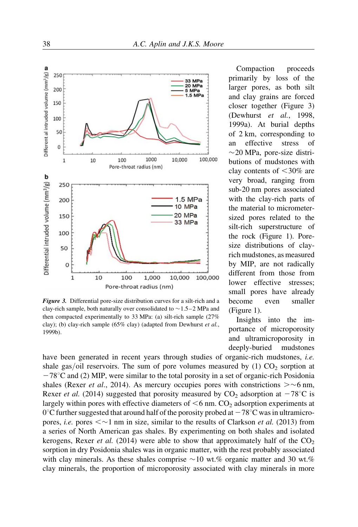

Figure 3. Differential pore-size distribution curves for a silt-rich and a clay-rich sample, both naturally over consolidated to  $\sim$  1.5–2 MPa and then compacted experimentally to 33 MPa: (a) silt-rich sample (27% clay); (b) clay-rich sample (65% clay) (adapted from Dewhurst et al., 1999b).

Compaction proceeds primarily by loss of the larger pores, as both silt and clay grains are forced closer together (Figure 3) (Dewhurst et al., 1998, 1999a). At burial depths of 2 km, corresponding to an effective stress of  $\sim$ 20 MPa, pore-size distributions of mudstones with clay contents of  $<$ 30% are very broad, ranging from sub-20 nm pores associated with the clay-rich parts of the material to micrometersized pores related to the silt-rich superstructure of the rock (Figure 1). Poresize distributions of clayrich mudstones, as measured by MIP, are not radically different from those from lower effective stresses; small pores have already become even smaller (Figure 1).

Insights into the importance of microporosity and ultramicroporosity in deeply-buried mudstones

have been generated in recent years through studies of organic-rich mudstones, i.e. shale gas/oil reservoirs. The sum of pore volumes measured by  $(1)$  CO<sub>2</sub> sorption at  $-78^{\circ}$ C and (2) MIP, were similar to the total porosity in a set of organic-rich Posidonia shales (Rexer *et al.*, 2014). As mercury occupies pores with constrictions  $> \sim 6$  nm, Rexer *et al.* (2014) suggested that porosity measured by  $CO_2$  adsorption at  $-78^{\circ}\text{C}$  is largely within pores with effective diameters of  $\leq 6$  nm. CO<sub>2</sub> adsorption experiments at  $0^{\circ}$ C further suggested that around half of the porosity probed at  $-78^{\circ}$ C was in ultramicropores, *i.e.* pores  $\langle \sim 1 \text{ nm}$  in size, similar to the results of Clarkson *et al.* (2013) from a series of North American gas shales. By experimenting on both shales and isolated kerogens, Rexer *et al.* (2014) were able to show that approximately half of the  $CO<sub>2</sub>$ sorption in dry Posidonia shales was in organic matter, with the rest probably associated with clay minerals. As these shales comprise  $\sim 10$  wt.% organic matter and 30 wt.% clay minerals, the proportion of microporosity associated with clay minerals in more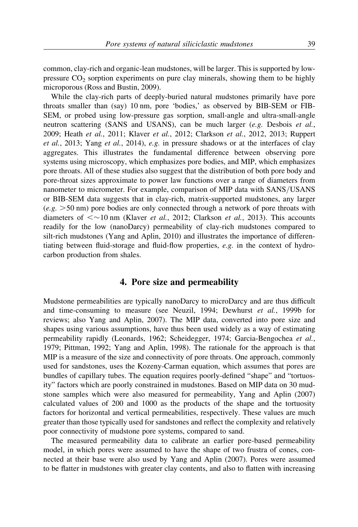common, clay-rich and organic-lean mudstones, will be larger. This is supported by lowpressure  $CO<sub>2</sub>$  sorption experiments on pure clay minerals, showing them to be highly microporous (Ross and Bustin, 2009).

While the clay-rich parts of deeply-buried natural mudstones primarily have pore throats smaller than (say) 10 nm, pore 'bodies,' as observed by BIB-SEM or FIB-SEM, or probed using low-pressure gas sorption, small-angle and ultra-small-angle neutron scattering (SANS and USANS), can be much larger (e.g. Desbois et al., 2009; Heath et al., 2011; Klaver et al., 2012; Clarkson et al., 2012, 2013; Ruppert et al., 2013; Yang et al., 2014), e.g. in pressure shadows or at the interfaces of clay aggregates. This illustrates the fundamental difference between observing pore systems using microscopy, which emphasizes pore bodies, and MIP, which emphasizes pore throats. All of these studies also suggest that the distribution of both pore body and pore-throat sizes approximate to power law functions over a range of diameters from nanometer to micrometer. For example, comparison of MIP data with SANS/USANS or BIB-SEM data suggests that in clay-rich, matrix-supported mudstones, any larger  $(e.g. > 50 \text{ nm})$  pore bodies are only connected through a network of pore throats with diameters of  $\leq$  10 nm (Klaver *et al.*, 2012; Clarkson *et al.*, 2013). This accounts readily for the low (nanoDarcy) permeability of clay-rich mudstones compared to silt-rich mudstones (Yang and Aplin, 2010) and illustrates the importance of differentiating between fluid-storage and fluid-flow properties,  $e.g.$  in the context of hydrocarbon production from shales.

#### 4. Pore size and permeability

Mudstone permeabilities are typically nanoDarcy to microDarcy and are thus difficult and time-consuming to measure (see Neuzil, 1994; Dewhurst et al., 1999b for reviews; also Yang and Aplin, 2007). The MIP data, converted into pore size and shapes using various assumptions, have thus been used widely as a way of estimating permeability rapidly (Leonards, 1962; Scheidegger, 1974; Garcia-Bengochea et al., 1979; Pittman, 1992; Yang and Aplin, 1998). The rationale for the approach is that MIP is a measure of the size and connectivity of pore throats. One approach, commonly used for sandstones, uses the Kozeny-Carman equation, which assumes that pores are bundles of capillary tubes. The equation requires poorly-defined "shape" and "tortuosity" factors which are poorly constrained in mudstones. Based on MIP data on 30 mudstone samples which were also measured for permeability, Yang and Aplin (2007) calculated values of 200 and 1000 as the products of the shape and the tortuosity factors for horizontal and vertical permeabilities, respectively. These values are much greater than those typically used for sandstones and reflect the complexity and relatively poor connectivity of mudstone pore systems, compared to sand.

The measured permeability data to calibrate an earlier pore-based permeability model, in which pores were assumed to have the shape of two frustra of cones, connected at their base were also used by Yang and Aplin (2007). Pores were assumed to be flatter in mudstones with greater clay contents, and also to flatten with increasing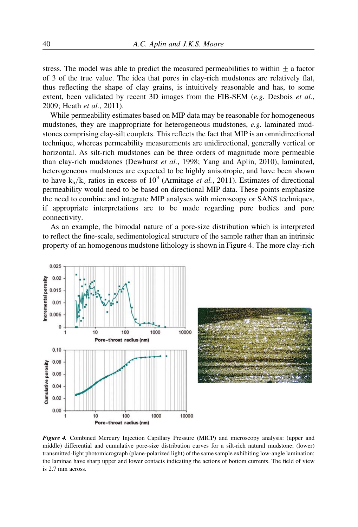stress. The model was able to predict the measured permeabilities to within  $+$  a factor of 3 of the true value. The idea that pores in clay-rich mudstones are relatively flat, thus reflecting the shape of clay grains, is intuitively reasonable and has, to some extent, been validated by recent 3D images from the FIB-SEM (e.g. Desbois et al., 2009; Heath et al., 2011).

While permeability estimates based on MIP data may be reasonable for homogeneous mudstones, they are inappropriate for heterogeneous mudstones, e.g. laminated mudstones comprising clay-silt couplets. This reflects the fact that MIP is an omnidirectional technique, whereas permeability measurements are unidirectional, generally vertical or horizontal. As silt-rich mudstones can be three orders of magnitude more permeable than clay-rich mudstones (Dewhurst et al., 1998; Yang and Aplin, 2010), laminated, heterogeneous mudstones are expected to be highly anisotropic, and have been shown to have  $k_h/k_v$  ratios in excess of  $10^3$  (Armitage *et al.*, 2011). Estimates of directional permeability would need to be based on directional MIP data. These points emphasize the need to combine and integrate MIP analyses with microscopy or SANS techniques, if appropriate interpretations are to be made regarding pore bodies and pore connectivity.

As an example, the bimodal nature of a pore-size distribution which is interpreted to reflect the fine-scale, sedimentological structure of the sample rather than an intrinsic property of an homogenous mudstone lithology is shown in Figure 4. The more clay-rich



Figure 4. Combined Mercury Injection Capillary Pressure (MICP) and microscopy analysis: (upper and middle) differential and cumulative pore-size distribution curves for a silt-rich natural mudstone; (lower) transmitted-light photomicrograph (plane-polarized light) of the same sample exhibiting low-angle lamination; the laminae have sharp upper and lower contacts indicating the actions of bottom currents. The field of view is 2.7 mm across.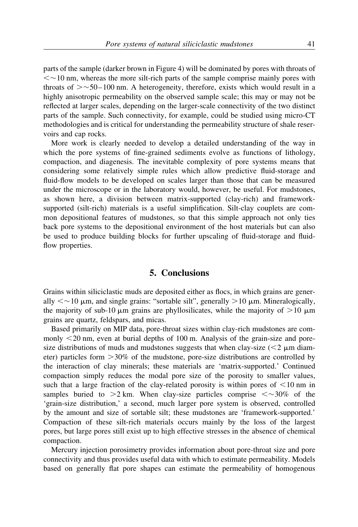parts of the sample (darker brown in Figure 4) will be dominated by pores with throats of  $\leq$   $\sim$  10 nm, whereas the more silt-rich parts of the sample comprise mainly pores with throats of  $>$   $\sim$  50–100 nm. A heterogeneity, therefore, exists which would result in a highly anisotropic permeability on the observed sample scale; this may or may not be reflected at larger scales, depending on the larger-scale connectivity of the two distinct parts of the sample. Such connectivity, for example, could be studied using micro-CT methodologies and is critical for understanding the permeability structure of shale reservoirs and cap rocks.

More work is clearly needed to develop a detailed understanding of the way in which the pore systems of fine-grained sediments evolve as functions of lithology, compaction, and diagenesis. The inevitable complexity of pore systems means that considering some relatively simple rules which allow predictive fluid-storage and fluid-flow models to be developed on scales larger than those that can be measured under the microscope or in the laboratory would, however, be useful. For mudstones, as shown here, a division between matrix-supported (clay-rich) and frameworksupported (silt-rich) materials is a useful simplification. Silt-clay couplets are common depositional features of mudstones, so that this simple approach not only ties back pore systems to the depositional environment of the host materials but can also be used to produce building blocks for further upscaling of fluid-storage and fluidflow properties.

#### 5. Conclusions

Grains within siliciclastic muds are deposited either as flocs, in which grains are generally  $\lt \sim 10$   $\mu$ m, and single grains: "sortable silt", generally  $> 10$   $\mu$ m. Mineralogically, the majority of sub-10  $\mu$ m grains are phyllosilicates, while the majority of  $>10 \mu$ m grains are quartz, feldspars, and micas.

Based primarily on MIP data, pore-throat sizes within clay-rich mudstones are commonly  $\leq$ 20 nm, even at burial depths of 100 m. Analysis of the grain-size and poresize distributions of muds and mudstones suggests that when clay-size ( $\leq$ 2  $\mu$ m diameter) particles form  $>30\%$  of the mudstone, pore-size distributions are controlled by the interaction of clay minerals; these materials are 'matrix-supported.' Continued compaction simply reduces the modal pore size of the porosity to smaller values, such that a large fraction of the clay-related porosity is within pores of  $\leq 10$  nm in samples buried to  $>2$  km. When clay-size particles comprise  $\langle \sim 30\%$  of the 'grain-size distribution,' a second, much larger pore system is observed, controlled by the amount and size of sortable silt; these mudstones are 'framework-supported.' Compaction of these silt-rich materials occurs mainly by the loss of the largest pores, but large pores still exist up to high effective stresses in the absence of chemical compaction.

Mercury injection porosimetry provides information about pore-throat size and pore connectivity and thus provides useful data with which to estimate permeability. Models based on generally flat pore shapes can estimate the permeability of homogenous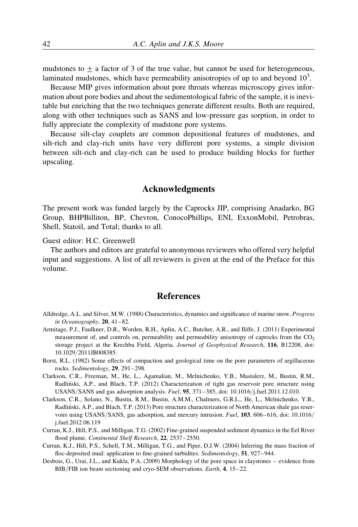mudstones to  $+$  a factor of 3 of the true value, but cannot be used for heterogeneous, laminated mudstones, which have permeability anisotropies of up to and beyond  $10<sup>3</sup>$ .

Because MIP gives information about pore throats whereas microscopy gives information about pore bodies and about the sedimentological fabric of the sample, it is inevitable but enriching that the two techniques generate different results. Both are required, along with other techniques such as SANS and low-pressure gas sorption, in order to fully appreciate the complexity of mudstone pore systems.

Because silt-clay couplets are common depositional features of mudstones, and silt-rich and clay-rich units have very different pore systems, a simple division between silt-rich and clay-rich can be used to produce building blocks for further upscaling.

### Acknowledgments

The present work was funded largely by the Caprocks JIP, comprising Anadarko, BG Group, BHPBilliton, BP, Chevron, ConocoPhillips, ENI, ExxonMobil, Petrobras, Shell, Statoil, and Total; thanks to all.

Guest editor: H.C. Greenwell

The authors and editors are grateful to anonymous reviewers who offered very helpful input and suggestions. A list of all reviewers is given at the end of the Preface for this volume.

# References

- Alldredge, A.L. and Silver, M.W. (1988) Characteristics, dynamics and significance of marine snow. Progress in Oceanography, 20, 41–82.
- Armitage, P.J., Faulkner, D.R., Worden, R.H., Aplin, A.C., Butcher, A.R., and Iliffe, J. (2011) Experimental measurement of, and controls on, permeability and permeability anisotropy of caprocks from the  $CO<sub>2</sub>$ storage project at the Krechba Field, Algeria. Journal of Geophysical Research, 116, B12208, doi: 10.1029/2011JB008385.
- Borst, R.L. (1982) Some effects of compaction and geological time on the pore parameters of argillaceous rocks. Sedimentology, 29, 291-298.
- Clarkson, C.R., Freeman, M., He, L., Agamalian, M., Melnichenko, Y.B., Mastalerz, M., Bustin, R.M., Radlin´ski, A.P., and Blach, T.P. (2012) Characterization of tight gas reservoir pore structure using USANS/SANS and gas adsorption analysis. Fuel, 95, 371-385, doi: 10.1016/j.fuel.2011.12.010.
- Clarkson, C.R., Solano, N., Bustin, R.M., Bustin, A.M.M., Chalmers, G.R.L., He, L., Melnichenko, Y.B., Radlin´ski, A.P., and Blach, T.P. (2013) Pore structure characterization of North American shale gas reservoirs using USANS/SANS, gas adsorption, and mercury intrusion. Fuel, 103, 606–616, doi: 10.1016/ j.fuel.2012.06.119
- Curran, K.J., Hill, P.S., and Milligan, T.G. (2002) Fine-grained suspended sediment dynamics in the Eel River flood plume. Continental Shelf Research, 22, 2537-2550.
- Curran, K.J., Hill, P.S., Schell, T.M., Milligan, T.G., and Piper, D.J.W. (2004) Inferring the mass fraction of floc-deposited mud: application to fine-grained turbidites. Sedimentology, 51, 927–944.
- Desbois, G., Urai, J.L., and Kukla, P.A. (2009) Morphology of the pore space in claystones evidence from BIB/FIB ion beam sectioning and cryo-SEM observations. Earth, 4, 15–22.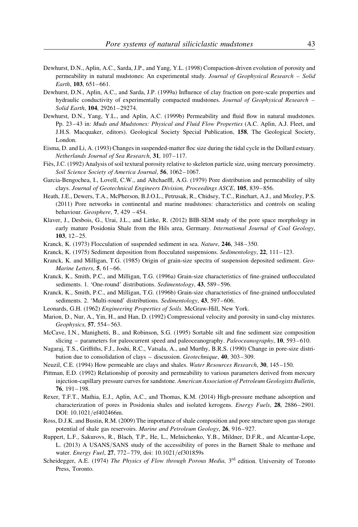- Dewhurst, D.N., Aplin, A.C., Sarda, J.P., and Yang, Y.L. (1998) Compaction-driven evolution of porosity and permeability in natural mudstones: An experimental study. Journal of Geophysical Research – Solid Earth, 103, 651-661.
- Dewhurst, D.N., Aplin, A.C., and Sarda, J.P. (1999a) Influence of clay fraction on pore-scale properties and hydraulic conductivity of experimentally compacted mudstones. Journal of Geophysical Research – Solid Earth, 104, 29261-29274.
- Dewhurst, D.N., Yang, Y.L., and Aplin, A.C. (1999b) Permeability and fluid flow in natural mudstones. Pp. 23–43 in: Muds and Mudstones: Physical and Fluid Flow Properties (A.C. Aplin, A.J. Fleet, and J.H.S. Macquaker, editors). Geological Society Special Publication, 158, The Geological Society, London.
- Eisma, D. and Li, A. (1993) Changes in suspended-matter floc size during the tidal cycle in the Dollard estuary. Netherlands Journal of Sea Research, 31, 107-117.
- Fiès, J.C. (1992) Analysis of soil textural porosity relative to skeleton particle size, using mercury porosimetry. Soil Science Society of America Journal, 56, 1062– 1067.
- Garcia-Bengochea, I., Lovell, C.W., and Altchaeffl, A.G. (1979) Pore distribution and permeability of silty clays. Journal of Geotechnical Engineers Division, Proceedings ASCE, 105, 839– 856.
- Heath, J.E., Dewers, T.A., McPherson, B.J.O.L., Petrusak, R., Chidsey, T.C., Rinehart, A.J., and Mozley, P.S. (2011) Pore networks in continental and marine mudstones: characteristics and controls on sealing behaviour. Geosphere, 7, 429 -454.
- Klaver, J., Desbois, G., Urai, J.L., and Littke, R. (2012) BIB-SEM study of the pore space morphology in early mature Posidonia Shale from the Hils area, Germany. International Journal of Coal Geology, 103, 12– 25.
- Kranck, K. (1973) Flocculation of suspended sediment in sea. Nature, 246, 348– 350.
- Kranck, K. (1975) Sediment deposition from flocculated suspensions. Sedimentology, 22, 111– 123.
- Kranck, K. and Milligan, T.G. (1985) Origin of grain-size spectra of suspension deposited sediment. Geo-Marine Letters, 5, 61–66.
- Kranck, K., Smith, P.C., and Milligan, T.G. (1996a) Grain-size characteristics of fine-grained unflocculated sediments. 1. 'One-round' distributions. Sedimentology, 43, 589-596.
- Kranck, K., Smith, P.C., and Milligan, T.G. (1996b) Grain-size characteristics of fine-grained unflocculated sediments. 2. 'Multi-round' distributions. Sedimentology, 43, 597-606.
- Leonards, G.H. (1962) Engineering Properties of Soils. McGraw-Hill, New York.
- Marion, D., Nur, A., Yin, H., and Han, D. (1992) Compressional velocity and porosity in sand-clay mixtures. Geophysics, 57, 554-563.
- McCave, I.N., Manighetti, B., and Robinson, S.G. (1995) Sortable silt and fine sediment size composition slicing – parameters for paleocurrent speed and paleoceanography. Paleoceanography, 10, 593–610.
- Nagaraj, T.S., Griffiths, F.J., Joshi, R.C., Vatsala, A., and Murthy, B.R.S. (1990) Change in pore-size distribution due to consolidation of clays – discussion. Geotechnique, 40, 303– 309.
- Neuzil, C.E. (1994) How permeable are clays and shales. Water Resources Research, 30, 145–150.
- Pittman, E.D. (1992) Relationship of porosity and permeability to various parameters derived from mercury injection-capillary pressure curves for sandstone. American Association of Petroleum Geologists Bulletin, 76, 191– 198.
- Rexer, T.F.T., Mathia, E.J., Aplin, A.C., and Thomas, K.M. (2014) High-pressure methane adsorption and characterization of pores in Posidonia shales and isolated kerogens. *Energy Fuels*, 28, 2886–2901. DOI: 10.1021/ef402466m.
- Ross, D.J.K. and Bustin, R.M. (2009) The importance of shale composition and pore structure upon gas storage potential of shale gas reservoirs. Marine and Petroleum Geology, 26, 916-927.
- Ruppert, L.F., Sakurovs, R., Blach, T.P., He, L., Melnichenko, Y.B., Mildner, D.F.R., and Alcantar-Lope, L. (2013) A USANS/SANS study of the accessibility of pores in the Barnett Shale to methane and water. *Energy Fuel*, 27, 772–779, doi: 10.1021/ef301859s
- Scheidegger, A.E. (1974) The Physics of Flow through Porous Media, 3<sup>rd</sup> edition. University of Toronto Press, Toronto.